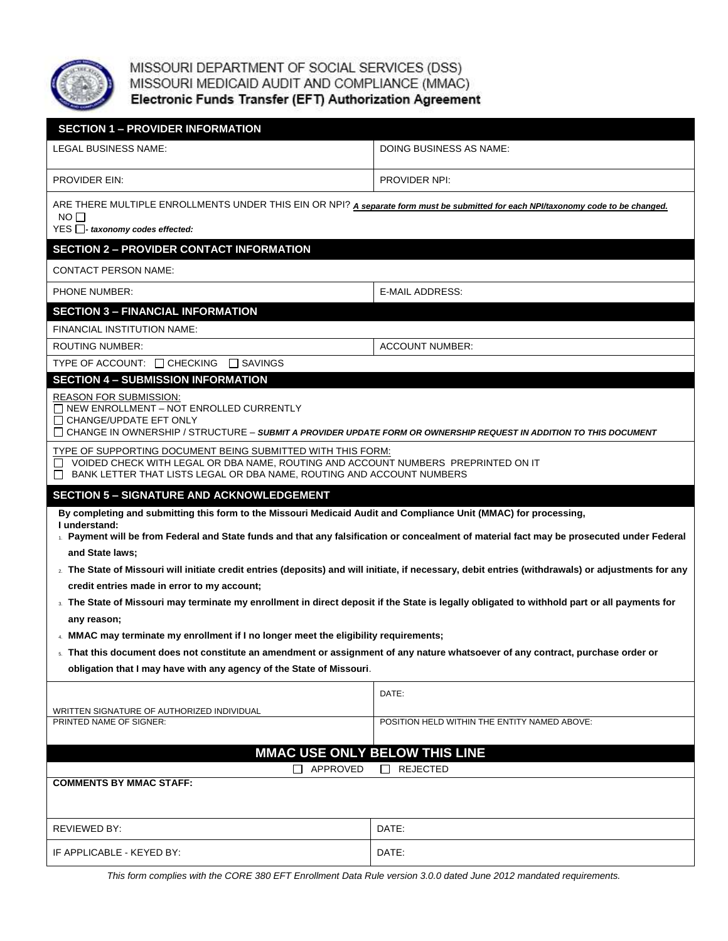

MISSOURI DEPARTMENT OF SOCIAL SERVICES (DSS)<br>MISSOURI MEDICAID AUDIT AND COMPLIANCE (MMAC)<br>Electronic Funds Transfer (EFT) Authorization Agreement

| <b>SECTION 1 - PROVIDER INFORMATION</b>                                                                                                                                                                                                                                                                                                                                                                                                                                                                                                                                                                                                                                                                                                                                                                                                                                                                                                                                                 |                                              |  |
|-----------------------------------------------------------------------------------------------------------------------------------------------------------------------------------------------------------------------------------------------------------------------------------------------------------------------------------------------------------------------------------------------------------------------------------------------------------------------------------------------------------------------------------------------------------------------------------------------------------------------------------------------------------------------------------------------------------------------------------------------------------------------------------------------------------------------------------------------------------------------------------------------------------------------------------------------------------------------------------------|----------------------------------------------|--|
| LEGAL BUSINESS NAME:                                                                                                                                                                                                                                                                                                                                                                                                                                                                                                                                                                                                                                                                                                                                                                                                                                                                                                                                                                    | DOING BUSINESS AS NAME:                      |  |
| <b>PROVIDER EIN:</b>                                                                                                                                                                                                                                                                                                                                                                                                                                                                                                                                                                                                                                                                                                                                                                                                                                                                                                                                                                    | PROVIDER NPI:                                |  |
| ARE THERE MULTIPLE ENROLLMENTS UNDER THIS EIN OR NPI? A separate form must be submitted for each NPI/taxonomy code to be changed.<br>NO <sub>1</sub><br>YES $\Box$ - taxonomy codes effected:                                                                                                                                                                                                                                                                                                                                                                                                                                                                                                                                                                                                                                                                                                                                                                                           |                                              |  |
| <b>SECTION 2 - PROVIDER CONTACT INFORMATION</b>                                                                                                                                                                                                                                                                                                                                                                                                                                                                                                                                                                                                                                                                                                                                                                                                                                                                                                                                         |                                              |  |
| <b>CONTACT PERSON NAME:</b>                                                                                                                                                                                                                                                                                                                                                                                                                                                                                                                                                                                                                                                                                                                                                                                                                                                                                                                                                             |                                              |  |
| PHONE NUMBER:                                                                                                                                                                                                                                                                                                                                                                                                                                                                                                                                                                                                                                                                                                                                                                                                                                                                                                                                                                           | <b>E-MAIL ADDRESS:</b>                       |  |
| <b>SECTION 3 - FINANCIAL INFORMATION</b><br>FINANCIAL INSTITUTION NAME:                                                                                                                                                                                                                                                                                                                                                                                                                                                                                                                                                                                                                                                                                                                                                                                                                                                                                                                 |                                              |  |
| ROUTING NUMBER:                                                                                                                                                                                                                                                                                                                                                                                                                                                                                                                                                                                                                                                                                                                                                                                                                                                                                                                                                                         | <b>ACCOUNT NUMBER:</b>                       |  |
| $\Box$ SAVINGS<br>TYPE OF ACCOUNT: $\Box$ CHECKING                                                                                                                                                                                                                                                                                                                                                                                                                                                                                                                                                                                                                                                                                                                                                                                                                                                                                                                                      |                                              |  |
| <b>SECTION 4 - SUBMISSION INFORMATION</b>                                                                                                                                                                                                                                                                                                                                                                                                                                                                                                                                                                                                                                                                                                                                                                                                                                                                                                                                               |                                              |  |
| <b>REASON FOR SUBMISSION:</b><br>$\Box$ NEW ENROLLMENT - NOT ENROLLED CURRENTLY<br>$\Box$ CHANGE/UPDATE EFT ONLY<br>□ CHANGE IN OWNERSHIP / STRUCTURE – SUBMIT A PROVIDER UPDATE FORM OR OWNERSHIP REQUEST IN ADDITION TO THIS DOCUMENT                                                                                                                                                                                                                                                                                                                                                                                                                                                                                                                                                                                                                                                                                                                                                 |                                              |  |
| TYPE OF SUPPORTING DOCUMENT BEING SUBMITTED WITH THIS FORM:<br>VOIDED CHECK WITH LEGAL OR DBA NAME, ROUTING AND ACCOUNT NUMBERS PREPRINTED ON IT<br>BANK LETTER THAT LISTS LEGAL OR DBA NAME, ROUTING AND ACCOUNT NUMBERS<br>ப                                                                                                                                                                                                                                                                                                                                                                                                                                                                                                                                                                                                                                                                                                                                                          |                                              |  |
| <b>SECTION 5 - SIGNATURE AND ACKNOWLEDGEMENT</b>                                                                                                                                                                                                                                                                                                                                                                                                                                                                                                                                                                                                                                                                                                                                                                                                                                                                                                                                        |                                              |  |
| By completing and submitting this form to the Missouri Medicaid Audit and Compliance Unit (MMAC) for processing,<br>I understand:<br>L. Payment will be from Federal and State funds and that any falsification or concealment of material fact may be prosecuted under Federal<br>and State laws;<br>2. The State of Missouri will initiate credit entries (deposits) and will initiate, if necessary, debit entries (withdrawals) or adjustments for any<br>credit entries made in error to my account;<br><sup>3</sup> The State of Missouri may terminate my enrollment in direct deposit if the State is legally obligated to withhold part or all payments for<br>any reason;<br>4. MMAC may terminate my enrollment if I no longer meet the eligibility requirements;<br>® That this document does not constitute an amendment or assignment of any nature whatsoever of any contract, purchase order or<br>obligation that I may have with any agency of the State of Missouri. |                                              |  |
|                                                                                                                                                                                                                                                                                                                                                                                                                                                                                                                                                                                                                                                                                                                                                                                                                                                                                                                                                                                         | DATE:                                        |  |
| WRITTEN SIGNATURE OF AUTHORIZED INDIVIDUAL<br>PRINTED NAME OF SIGNER:                                                                                                                                                                                                                                                                                                                                                                                                                                                                                                                                                                                                                                                                                                                                                                                                                                                                                                                   | POSITION HELD WITHIN THE ENTITY NAMED ABOVE: |  |
| MMAC USE ONLY BELOW THIS LINE                                                                                                                                                                                                                                                                                                                                                                                                                                                                                                                                                                                                                                                                                                                                                                                                                                                                                                                                                           |                                              |  |
| $\Box$ APPROVED<br>$\Box$ REJECTED                                                                                                                                                                                                                                                                                                                                                                                                                                                                                                                                                                                                                                                                                                                                                                                                                                                                                                                                                      |                                              |  |
| <b>COMMENTS BY MMAC STAFF:</b>                                                                                                                                                                                                                                                                                                                                                                                                                                                                                                                                                                                                                                                                                                                                                                                                                                                                                                                                                          |                                              |  |
| REVIEWED BY:                                                                                                                                                                                                                                                                                                                                                                                                                                                                                                                                                                                                                                                                                                                                                                                                                                                                                                                                                                            | DATE:                                        |  |
| IF APPLICABLE - KEYED BY:                                                                                                                                                                                                                                                                                                                                                                                                                                                                                                                                                                                                                                                                                                                                                                                                                                                                                                                                                               | DATE:                                        |  |

*This form complies with the CORE 380 EFT Enrollment Data Rule version 3.0.0 dated June 2012 mandated requirements.*